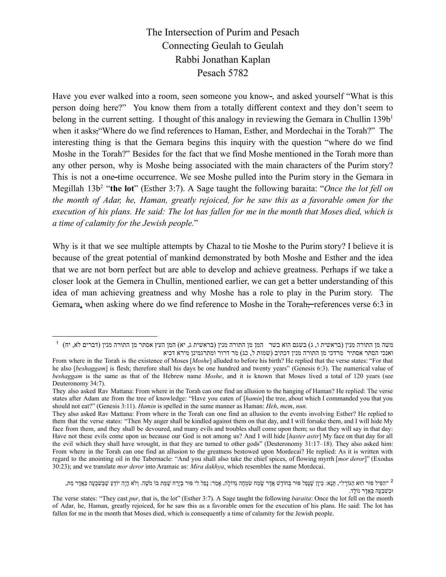The Intersection of Purim and Pesach Connecting Geulah to Geulah Rabbi Jonathan Kaplan Pesach 5782

Have you ever walked into a room, seen someone you know-, and asked yourself "What is this person doing here?" You know them from a totally different context and they don't seem to belong in the current setting. I thought of this analogy in reviewing the Gemara in Chullin  $139b<sup>1</sup>$ when it asks; "Where do we find references to Haman, Esther, and Mordechai in the Torah?" The interesting thing is that the Gemara begins this inquiry with the question "where do we find Moshe in the Torah?" Besides for the fact that we find Moshe mentioned in the Torah more than any other person, why is Moshe being associated with the main characters of the Purim story? This is not a one-time occurrence. We see Moshe pulled into the Purim story in the Gemara in Megillah 13b<sup>2</sup> "**the lot**" (Esther 3:7). A Sage taught the following baraita: "*Once the lot fell on the month of Adar, he, Haman, greatly rejoiced, for he saw this as a favorable omen for the* execution of his plans. He said: The lot has fallen for me in the month that Moses died, which is *a time of calamity for the Jewish people.*"

Why is it that we see multiple attempts by Chazal to tie Moshe to the Purim story? I believe it is because of the great potential of mankind demonstrated by both Moshe and Esther and the idea that we are not born perfect but are able to develop and achieve greatness. Perhaps if we take a closer look at the Gemera in Chullin, mentioned earlier, we can get a better understanding of this idea of man achieving greatness and why Moshe has a role to play in the Purim story. The Gemara, when asking where do we find reference to Moshe in the Torah—references verse 6:3 in

 $^1$  (מן התורה מנין (בראשית ו, ג) בשגם הוא בשר  $\,$ המן מן התורה מנין (בראשית ג, יא) המן העץ אסתר מן התורה מנין (דברים לא, יח)  $\,$ ואנכי הסתר אסתיר מרדכי מן התורה מנין דכתיב (שמות ל, כג) מר דרור ומתרגמינן מירא דכיא

From where in the Torah is the existence of Moses [*Moshe*] alluded to before his birth? He replied that the verse states: "For that he also [*beshaggam*] is flesh; therefore shall his days be one hundred and twenty years" (Genesis 6:3). The numerical value of *beshaggam* is the same as that of the Hebrew name *Moshe*, and it is known that Moses lived a total of 120 years (see Deuteronomy 34:7).

They also asked Rav Mattana: From where in the Torah can one find an allusion to the hanging of Haman? He replied: The verse states after Adam ate from the tree of knowledge: "Have you eaten of [*hamin*] the tree, about which I commanded you that you should not eat?" (Genesis 3:11). *Hamin* is spelled in the same manner as Haman: *Heh*, *mem*, *nun*.

They also asked Rav Mattana: From where in the Torah can one find an allusion to the events involving Esther? He replied to them that the verse states: "Then My anger shall be kindled against them on that day, and I will forsake them, and I will hide My face from them, and they shall be devoured, and many evils and troubles shall come upon them; so that they will say in that day: Have not these evils come upon us because our God is not among us? And I will hide [*haster astir*] My face on that day for all the evil which they shall have wrought, in that they are turned to other gods" (Deuteronomy 31:17–18). They also asked him: From where in the Torah can one find an allusion to the greatness bestowed upon Mordecai? He replied: As it is written with regard to the anointing oil in the Tabernacle: "And you shall also take the chief spices, of flowing myrrh [*mor deror*]" (Exodus 30:23); and we translate *mor deror* into Aramaic as: *Mira dakhya*, which resembles the name Mordecai.

<sup>&</sup>lt;sup>2</sup> ״הפיל פור הוא הגוֹרָל״, תָּנָא: כִּיוָן שֶׁנָּפל פור בְחוֹדָשׁ אֲדָר שָׂמַח שִׂמְחָה גְדוֹלָה, אָמַר: נָפל לִי פור בְּיָרח שָׁמַּת בּוֹ מֹשָׁה. וְלֹא הָיָה יוֹדַעַ שַׁבְּשִׁבְעָה בַּאֲדָר מַת,  $i$ וּבְשׁבְעַה בַּאֲדַר נוֹלֵד.

The verse states: "They cast *pur*, that is, the lot" (Esther 3:7). A Sage taught the following *baraita*: Once the lot fell on the month of Adar, he, Haman, greatly rejoiced, for he saw this as a favorable omen for the execution of his plans. He said: The lot has fallen for me in the month that Moses died, which is consequently a time of calamity for the Jewish people.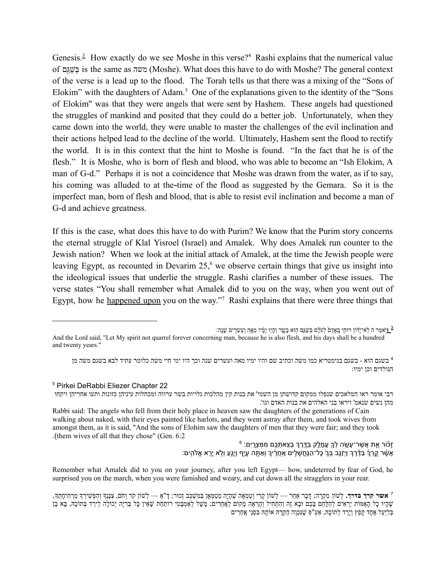Genesis.<sup>3</sup> How exactly do we see Moshe in this verse?<sup>4</sup> Rashi explains that the numerical value of גםַּ֖שַׁ בְּ is the same as משה) Moshe). What does this have to do with Moshe? The general context of the verse is a lead up to the flood. The Torah tells us that there was a mixing of the "Sons of Elokim" with the daughters of Adam.<sup>5</sup> One of the explanations given to the identity of the "Sons" of Elokim'' was that they were angels that were sent by Hashem. These angels had questioned the struggles of mankind and posited that they could do a better job. Unfortunately, when they came down into the world, they were unable to master the challenges of the evil inclination and their actions helped lead to the decline of the world. Ultimately, Hashem sent the flood to rectify the world. It is in this context that the hint to Moshe is found. "In the fact that he is of the flesh." It is Moshe, who is born of flesh and blood, who was able to become an "Ish Elokim, A man of G-d." Perhaps it is not a coincidence that Moshe was drawn from the water, as if to say, his coming was alluded to at the time of the flood as suggested by the Gemara. So it is the imperfect man, born of flesh and blood, that is able to resist evil inclination and become a man of G-d and achieve greatness.

If this is the case, what does this have to do with Purim? We know that the Purim story concerns the eternal struggle of Klal Yisroel (Israel) and Amalek. Why does Amalek run counter to the Jewish nation? When we look at the initial attack of Amalek, at the time the Jewish people were leaving Egypt, as recounted in Devarim  $25<sup>6</sup>$  we observe certain things that give us insight into the ideological issues that underlie the struggle. Rashi clarifies a number of these issues. The verse states "You shall remember what Amalek did to you on the way, when you went out of Egypt, how he happened upon you on the way."<sup>7</sup> Rashi explains that there were three things that

ן יַאמר הֹ לְא־יָדֹון רוּחִי בְאָדָם לְעֹלָם בְּשַׁגַם הִוּא בָעֳוֹר וְהָיִוּ יָמָ֫יו מֵאָה וְעָשְׂרִים שָׁנֶה:  $\frac{3}{2}$ 

## <sup>5</sup> Pirkei DeRabbi Eliezer Chapter 22

רבי אומר ראו המלאכים שנפלו ממקום קדושתן מן השמי' את בנות קין מהלכות גלויות בשר ערווה ומכחלות עיניהן כזונות ותעו אחריהן ויקחו מהן נשים שנאמ' ויראו בני האלהים את בנות האדם וגו'.

 $^6$  זַכּֿוֹר אֱת אֲשֶׁר־עָשָׂה לְךָ עַמָּלֶק בַּדֱרֵךְ בִּצֵאתָכֶם מִמְּצָרֶיִם: ָּאֲשֶּׁר קֶרְךָ בַּדֶּ֫רֶךְ וַיְזַגֲב בְּךָ כָּל־הַנֶּחֱשָׁלִִים אֲחֲרֶיךָ וְאַתֶּה עָיָף וְיָגֵעַ וְלָא יָרֶא אֱלֹהִים:

Remember what Amalek did to you on your journey, after you left Egypt— how, undeterred by fear of God, he surprised you on the march, when you were famished and weary, and cut down all the stragglers in your rear.

And the Lord said, "Let My spirit not quarrel forever concerning man, because he is also flesh, and his days shall be a hundred and twenty years."

<sup>4</sup> בשגם הוא - בשגם בגימטריא כמו משה וכתיב שם והיו ימיו מאה ועשרים שנה וכך היו ימי חיי משה כלומר עתיד לבא בשגם משה מן הנולדים וכן ימיו:

Rabbi said: The angels who fell from their holy place in heaven saw the daughters of the generations of Cain walking about naked, with their eyes painted like harlots, and they went astray after them, and took wives from amongst them, as it is said, "And the sons of Elohim saw the daughters of men that they were fair; and they took .(them wives of all that they chose" (Gen.  $6:2$ 

<sup>&</sup>lt;sup>7</sup> **אשר קרך בדרך.** לְשׁוֹן מִקְרָה; דָּבָר אַחַר — לְשׁוֹן קֵרי וְטֵמְאָה שֶׁהָיָה מְטַמְּאָן בְּמִשְׁפָב זְכוּר; דָ"אַ — לְשׁוֹן קֹר וְחֹם, צִנְּנָךְ וְהִפְשִׁירָךְ מֵרְתִיחָתְךָ, ָשְׁהִיוּ כָל הָאֶמּוֹת יְרֵאִים לְהִלָּחֶם בָּכֶם וּבָא זֶה וְהִתְחִיל וְהַרְאָה מָקוֹם לַאֲחָרִים; מָשָׁל לְאַמְבְּטִי רוֹתַחַת שָׁאֵין כָּל בְּרִיָּה יְכוֹלָה לִירֵד בְּתוֹכָה, בָּא בֶן ַבְּלִיַעַל אֶחָד קָפַץ וְיָרַד לְתוֹכָהּ, אַעַ"פִּ שֶׁנִּכְוָה הֲקֵרָה אוֹתָהּ בִּפְנֵי אֲחֵרִים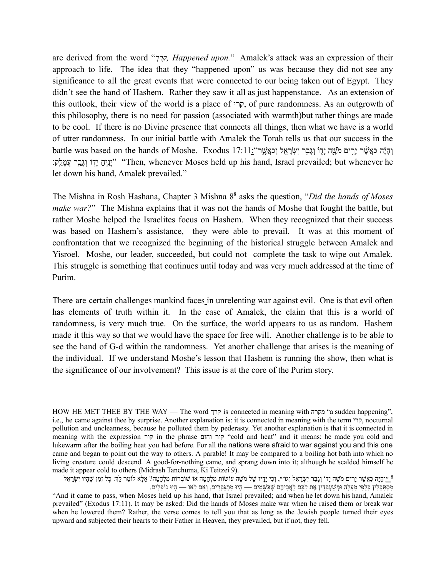are derived from the word "*קרך, Happened upon.*" Amalek's attack was an expression of their approach to life. The idea that they "happened upon" us was because they did not see any significance to all the great events that were connected to our being taken out of Egypt. They didn't see the hand of Hashem. Rather they saw it all as just happenstance. As an extension of this outlook, their view of the world is a place of קרי, of pure randomness. As an outgrowth of this philosophy, there is no need for passion (associated with warmth)but rather things are made to be cool. If there is no Divine presence that connects all things, then what we have is a world of utter randomness. In our initial battle with Amalek the Torah tells us that our success in the battle was based on the hands of Moshe. Exodus 17:11:"וְהָיָּה כַּאֲשֶׁר יָרִים מֹעֱה יָדָוֹ וְגָבַר יִשְׂרָאֵל וְכַאֲשֶׁר יִ וֹגְבָר עֲמֵלֵק: "Then, whenever Moses held up his hand, Israel prevailed; but whenever he let down his hand, Amalek prevailed."

The Mishna in Rosh Hashana, Chapter 3 Mishna 8 <sup>8</sup> asks the question, "*Did the hands of Moses make war?*" The Mishna explains that it was not the hands of Moshe that fought the battle, but rather Moshe helped the Israelites focus on Hashem. When they recognized that their success was based on Hashem's assistance, they were able to prevail. It was at this moment of confrontation that we recognized the beginning of the historical struggle between Amalek and Yisroel. Moshe, our leader, succeeded, but could not complete the task to wipe out Amalek. This struggle is something that continues until today and was very much addressed at the time of Purim.

There are certain challenges mankind faces in unrelenting war against evil. One is that evil often has elements of truth within it. In the case of Amalek, the claim that this is a world of randomness, is very much true. On the surface, the world appears to us as random. Hashem made it this way so that we would have the space for free will. Another challenge is to be able to see the hand of G-d within the randomness. Yet another challenge that arises is the meaning of the individual. If we understand Moshe's lesson that Hashem is running the show, then what is the significance of our involvement? This issue is at the core of the Purim story.

HOW HE MET THEE BY THE WAY — The word קרך is connected in meaning with מקרה" a sudden happening", i.e., he came against thee by surprise. Another explanation is: it is connected in meaning with the term קרי, nocturnal pollution and uncleanness, because he polluted them by pederasty. Yet another explanation is that it is connected in meaning with the expression קור in the phrase וחום קור" cold and heat" and it means: he made you cold and lukewarm after the boiling heat you had before. For all the nations were afraid to war against you and this one came and began to point out the way to others. A parable! It may be compared to a boiling hot bath into which no living creature could descend. A good-for-nothing came, and sprang down into it; although he scalded himself he made it appear cold to others (Midrash Tanchuma, Ki Teitzei 9).

<sup>&</sup>lt;u>ָּ</u>יוֹהְיָה כַּאֲשֶׁר יַרִים מֹשֶׁה יָדוֹ וְגֵבַר יִשְׂרָאֵל וְגוֹ״׳, וְכִי יָדֶיו שֶׁל מֹשֶׁה עוֹשׂוֹת מִלְחָמָה אוֹ שׁוֹבְרוֹת מִלְחָמָה? אֲלָא לוֹמַר לַדְּ: כָּל זְמַן שֶׁהָיוּ יִשָׂרָאֵל ְמְסַתַּכְּלִין כְּלַפֵּי מֲעָלָה וּמְשַׁעִבְּדִין אֶת לְבָם לַאֲבְיהֶם שֶׁבַּשָּׁמַיִם — הָיוּ מִתְגַּבְּרִים, וְאִם לָאו — הָיוּ נוֹפְלִים.

<sup>&</sup>quot;And it came to pass, when Moses held up his hand, that Israel prevailed; and when he let down his hand, Amalek prevailed" (Exodus 17:11). It may be asked: Did the hands of Moses make war when he raised them or break war when he lowered them? Rather, the verse comes to tell you that as long as the Jewish people turned their eyes upward and subjected their hearts to their Father in Heaven, they prevailed, but if not, they fell.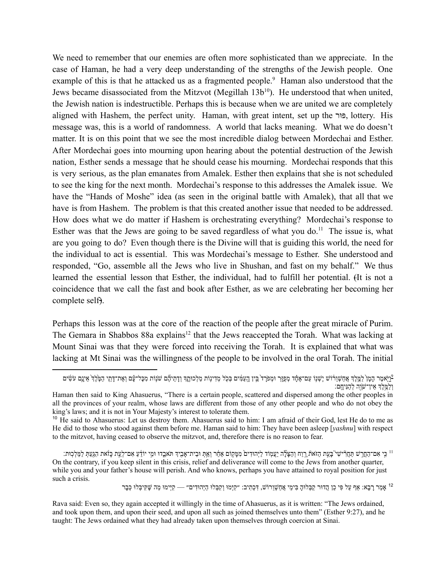We need to remember that our enemies are often more sophisticated than we appreciate. In the case of Haman, he had a very deep understanding of the strengths of the Jewish people. One example of this is that he attacked us as a fragmented people.<sup>9</sup> Haman also understood that the Jews became disassociated from the Mitzvot (Megillah 13b<sup>10</sup>). He understood that when united, the Jewish nation is indestructible. Perhaps this is because when we are united we are completely aligned with Hashem, the perfect unity. Haman, with great intent, set up the ורּפּ, lottery. His message was, this is a world of randomness. A world that lacks meaning. What we do doesn't matter. It is on this point that we see the most incredible dialog between Mordechai and Esther. After Mordechai goes into mourning upon hearing about the potential destruction of the Jewish nation, Esther sends a message that he should cease his mourning. Mordechai responds that this is very serious, as the plan emanates from Amalek. Esther then explains that she is not scheduled to see the king for the next month. Mordechai's response to this addresses the Amalek issue. We have the "Hands of Moshe" idea (as seen in the original battle with Amalek), that all that we have is from Hashem. The problem is that this created another issue that needed to be addressed. How does what we do matter if Hashem is orchestrating everything? Mordechai's response to Esther was that the Jews are going to be saved regardless of what you do.<sup>11</sup> The issue is, what are you going to do? Even though there is the Divine will that is guiding this world, the need for the individual to act is essential. This was Mordechai's message to Esther. She understood and responded, "Go, assemble all the Jews who live in Shushan, and fast on my behalf." We thus learned the essential lesson that Esther, the individual, had to fulfill her potential. (It is not a coincidence that we call the fast and book after Esther, as we are celebrating her becoming her complete self).

Perhaps this lesson was at the core of the reaction of the people after the great miracle of Purim. The Gemara in Shabbos 88a explains<sup>12</sup> that the Jews reaccepted the Torah. What was lacking at Mount Sinai was that they were forced into receiving the Torah. It is explained that what was lacking at Mt Sinai was the willingness of the people to be involved in the oral Torah. The initial

<sup>12</sup> אַמַר רָבָא: אַף עַל פִּי כֵן הַדּוּר קַבְּלוּהָ בִּימֵי אֲחֲשָׁוֵרוֹשׁ, דְּכְתִיב: ״קִיָּמוּ וַקִּבְּלוּ הַיָּהוּדִים״ — קִיִּימוּ מַה שֵׁקִיבָּלוּ כִּבָר

<sup>.&</sup>lt;br>יואמר המו למלד אחשורוש ישנו עם־אחד מפור ומפרד בין העמים בכל מדינות מלכותד ודתיהם שנות מכל־עם ואת־דתי המלך אינם עשים ְו ַלֶּ֥מ ֶלְך ֵאין־ׁשֶֹ֖וה ְל ַהּנִיָחֽם׃

Haman then said to King Ahasuerus, "There is a certain people, scattered and dispersed among the other peoples in all the provinces of your realm, whose laws are different from those of any other people and who do not obey the king's laws; and it is not in Your Majesty's interest to tolerate them.

<sup>&</sup>lt;sup>10</sup> He said to Ahasuerus: Let us destroy them. Ahasuerus said to him: I am afraid of their God, lest He do to me as He did to those who stood against them before me. Haman said to him: They have been asleep [*yashnu*] with respect to the mitzvot, having ceased to observe the mitzvot, and, therefore there is no reason to fear.

<sup>&</sup>lt;sup>11</sup> כִּי אִם־הַחֲרָשׁ תַּחֲרִּישִׁי בָּעֵת הַזֹּאת רֵוַח וְהַצָּלֶה יַעֲמָוֹד לַיְהוּדִים מִמָּקוֹם אַחֵר וְאַתְּ וּבֵית־אָבֻיִד וּמִי יוֹדֵעַ אִם־לְעֵת כָּוֹאת הִגַּעַתְּ לַמַּלְכוּת: On the contrary, if you keep silent in this crisis, relief and deliverance will come to the Jews from another quarter, while you and your father's house will perish. And who knows, perhaps you have attained to royal position for just such a crisis.

Rava said: Even so, they again accepted it willingly in the time of Ahasuerus, as it is written: "The Jews ordained, and took upon them, and upon their seed, and upon all such as joined themselves unto them" (Esther 9:27), and he taught: The Jews ordained what they had already taken upon themselves through coercion at Sinai.